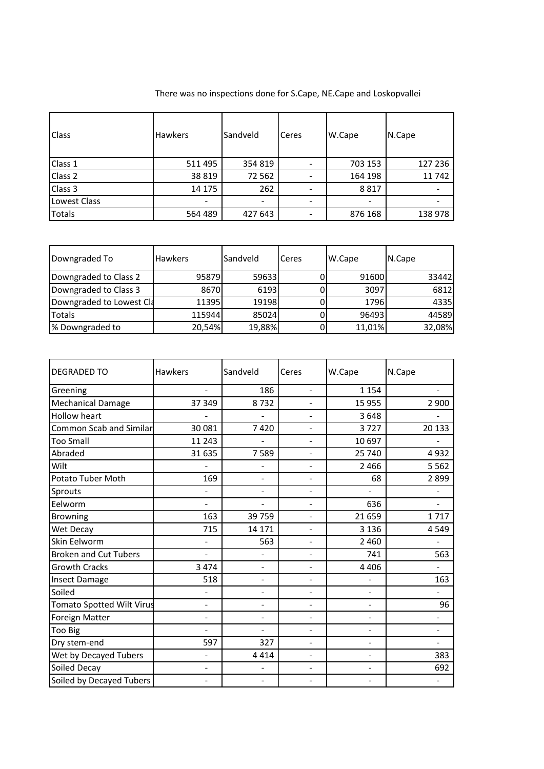| <b>Class</b>  | <b>Hawkers</b> | Sandveld | Ceres | W.Cape  | N.Cape  |
|---------------|----------------|----------|-------|---------|---------|
| Class 1       | 511 495        | 354 819  |       | 703 153 | 127 236 |
| Class 2       | 38 8 19        | 72 562   |       | 164 198 | 11 742  |
| Class 3       | 14 175         | 262      |       | 8817    |         |
| Lowest Class  |                | -        |       |         |         |
| <b>Totals</b> | 564 489        | 427 643  |       | 876 168 | 138 978 |

| Downgraded To            | <b>Hawkers</b> | Sandveld | Ceres | W.Cape | N.Cape |
|--------------------------|----------------|----------|-------|--------|--------|
| Downgraded to Class 2    | 95879          | 59633    | υ     | 91600  | 33442  |
| Downgraded to Class 3    | 8670           | 6193     |       | 3097   | 6812   |
| Downgraded to Lowest Cla | 11395          | 19198    |       | 1796   | 4335   |
| Totals                   | 115944         | 85024    |       | 96493  | 44589  |
| % Downgraded to          | 20,54%         | 19,88%   |       | 11,01% | 32,08% |

| <b>DEGRADED TO</b>               | Hawkers                  | Sandveld                 | Ceres                    | W.Cape                       | N.Cape  |
|----------------------------------|--------------------------|--------------------------|--------------------------|------------------------------|---------|
| Greening                         | $\blacksquare$           | 186                      | $\overline{a}$           | 1 1 5 4                      |         |
| <b>Mechanical Damage</b>         | 37 349                   | 8732                     | $\overline{\phantom{0}}$ | 15 955                       | 2 900   |
| <b>Hollow heart</b>              |                          |                          | $\blacksquare$           | 3648                         |         |
| <b>Common Scab and Similar</b>   | 30 081                   | 7420                     | -                        | 3727                         | 20 133  |
| <b>Too Small</b>                 | 11 243                   |                          | $\blacksquare$           | 10 697                       |         |
| Abraded                          | 31 635                   | 7589                     |                          | 25 740                       | 4932    |
| Wilt                             |                          |                          | ÷                        | 2 4 6 6                      | 5 5 6 2 |
| Potato Tuber Moth                | 169                      | ÷                        | ÷,                       | 68                           | 2899    |
| Sprouts                          |                          | $\overline{a}$           | $\overline{\phantom{0}}$ |                              |         |
| Eelworm                          |                          |                          | ÷                        | 636                          |         |
| <b>Browning</b>                  | 163                      | 39 759                   | -                        | 21 659                       | 1717    |
| Wet Decay                        | 715                      | 14 17 1                  | -                        | 3 1 3 6                      | 4549    |
| Skin Eelworm                     |                          | 563                      | $\blacksquare$           | 2 4 6 0                      |         |
| <b>Broken and Cut Tubers</b>     |                          | ÷                        | $\overline{\phantom{0}}$ | 741                          | 563     |
| <b>Growth Cracks</b>             | 3 4 7 4                  | $\overline{a}$           | ÷                        | 4 4 0 6                      |         |
| <b>Insect Damage</b>             | 518                      | -                        | $\overline{\phantom{0}}$ |                              | 163     |
| Soiled                           |                          | $\overline{a}$           | $\overline{\phantom{a}}$ | $\overline{\phantom{a}}$     |         |
| <b>Tomato Spotted Wilt Virus</b> | $\overline{\phantom{a}}$ | -                        | ÷                        | $\blacksquare$               | 96      |
| Foreign Matter                   |                          |                          | $\overline{a}$           | $\blacksquare$               |         |
| Too Big                          |                          |                          | $\blacksquare$           |                              |         |
| Dry stem-end                     | 597                      | 327                      | -                        | $\blacksquare$               |         |
| Wet by Decayed Tubers            | $\blacksquare$           | 4 4 1 4                  | $\overline{a}$           | $\blacksquare$               | 383     |
| Soiled Decay                     | $\overline{\phantom{0}}$ |                          | ÷                        | $\qquad \qquad \blacksquare$ | 692     |
| Soiled by Decayed Tubers         |                          | $\overline{\phantom{0}}$ |                          |                              |         |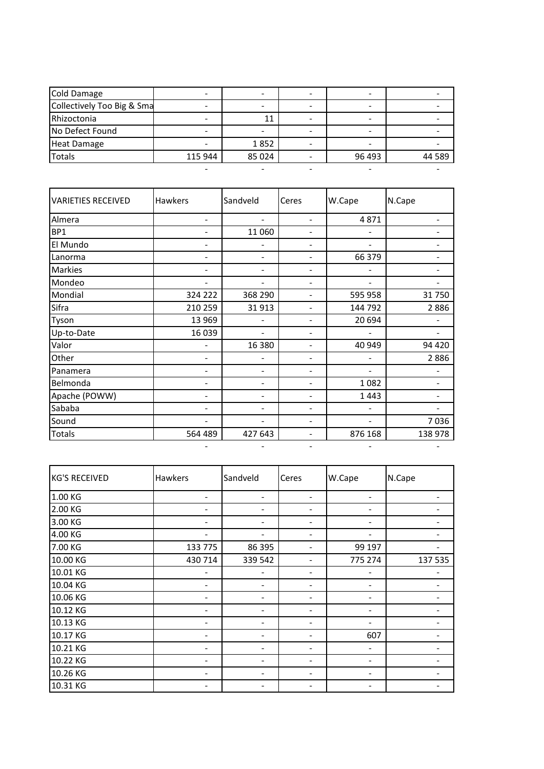| Cold Damage                |         |         |        |        |
|----------------------------|---------|---------|--------|--------|
| Collectively Too Big & Sma |         |         |        |        |
| Rhizoctonia                |         | 11      |        |        |
| No Defect Found            |         |         |        |        |
| <b>Heat Damage</b>         |         | 1852    |        |        |
| <b>Totals</b>              | 115 944 | 85 0 24 | 96 493 | 44 589 |
|                            |         |         |        |        |

| <b>VARIETIES RECEIVED</b> | Hawkers | Sandveld | Ceres | W.Cape  | N.Cape  |
|---------------------------|---------|----------|-------|---------|---------|
| Almera                    |         |          |       | 4871    |         |
| BP1                       |         | 11 060   |       |         |         |
| El Mundo                  |         |          |       |         |         |
| Lanorma                   |         |          |       | 66 379  |         |
| Markies                   |         |          |       |         |         |
| Mondeo                    |         |          |       |         |         |
| Mondial                   | 324 222 | 368 290  |       | 595 958 | 31 750  |
| Sifra                     | 210 259 | 31913    |       | 144 792 | 2886    |
| Tyson                     | 13 969  |          |       | 20 694  |         |
| Up-to-Date                | 16 039  |          |       |         |         |
| Valor                     |         | 16 380   |       | 40 949  | 94 420  |
| Other                     |         |          |       |         | 2886    |
| Panamera                  |         |          |       |         |         |
| Belmonda                  |         |          |       | 1082    |         |
| Apache (POWW)             |         |          |       | 1443    |         |
| Sababa                    |         |          |       |         |         |
| Sound                     |         |          |       |         | 7036    |
| Totals                    | 564 489 | 427 643  |       | 876 168 | 138 978 |
|                           |         |          |       |         |         |

| <b>KG'S RECEIVED</b> | <b>Hawkers</b> | Sandveld | Ceres | W.Cape  | N.Cape  |
|----------------------|----------------|----------|-------|---------|---------|
| 1.00 KG              |                |          |       |         |         |
| 2.00 KG              | -              |          |       |         |         |
| 3.00 KG              | -              | -        |       | -       |         |
| 4.00 KG              |                |          |       |         |         |
| 7.00 KG              | 133 775        | 86 395   |       | 99 197  |         |
| 10.00 KG             | 430 714        | 339 542  |       | 775 274 | 137 535 |
| 10.01 KG             |                |          |       |         |         |
| 10.04 KG             |                |          |       |         |         |
| 10.06 KG             |                |          |       |         |         |
| 10.12 KG             |                |          |       |         |         |
| 10.13 KG             |                |          |       |         |         |
| 10.17 KG             | -              |          |       | 607     |         |
| 10.21 KG             | -              |          |       | -       |         |
| 10.22 KG             |                |          |       |         |         |
| 10.26 KG             |                |          |       |         |         |
| 10.31 KG             |                |          |       |         |         |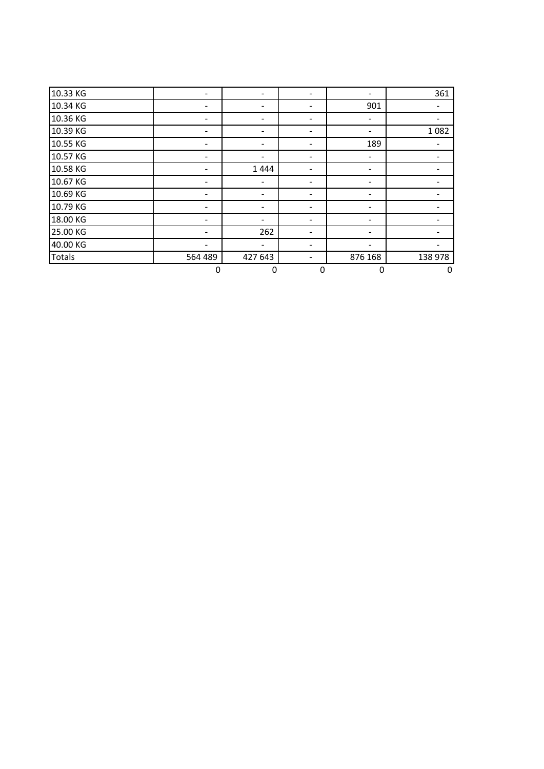| 10.33 KG      |         |         |   |         | 361     |
|---------------|---------|---------|---|---------|---------|
| 10.34 KG      |         |         |   | 901     |         |
| 10.36 KG      |         |         |   |         |         |
| 10.39 KG      |         |         |   |         | 1 0 8 2 |
| 10.55 KG      |         |         |   | 189     |         |
| 10.57 KG      |         |         |   |         |         |
| 10.58 KG      |         | 1444    |   |         |         |
| 10.67 KG      |         |         |   |         |         |
| 10.69 KG      |         |         |   |         |         |
| 10.79 KG      |         | -       |   |         |         |
| 18.00 KG      |         |         |   |         |         |
| 25.00 KG      |         | 262     | - | -       |         |
| 40.00 KG      |         |         |   |         |         |
| <b>Totals</b> | 564 489 | 427 643 |   | 876 168 | 138 978 |
|               | 0       | 0       | 0 | 0       | 0       |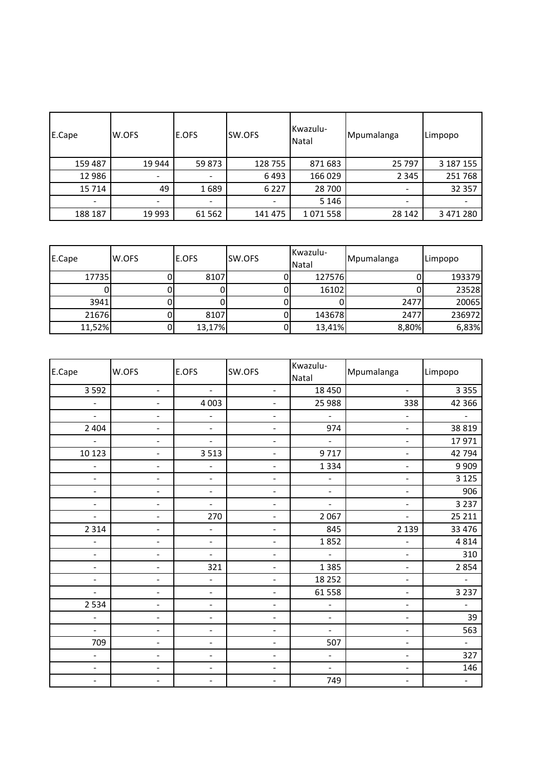| E.Cape  | W.OFS  | E.OFS   | SW.OFS  | Kwazulu-<br>Natal | Mpumalanga | <b>ILimpopo</b> |
|---------|--------|---------|---------|-------------------|------------|-----------------|
| 159 487 | 19 944 | 59 873  | 128 755 | 871 683           | 25 797     | 3 187 155       |
| 12 986  |        |         | 6493    | 166 029           | 2 3 4 5    | 251 768         |
| 15 7 14 | 49     | 1689    | 6 2 2 7 | 28 700            |            | 32 357          |
|         |        |         |         | 5 1 4 6           |            |                 |
| 188 187 | 19 993 | 61 5 62 | 141 475 | 1071558           | 28 14 2    | 3 471 280       |

| E.Cape | W.OFS | <b>E.OFS</b> | SW.OFS | Kwazulu-<br>Natal | Mpumalanga | <b>ILimpopo</b> |
|--------|-------|--------------|--------|-------------------|------------|-----------------|
| 17735  |       | 8107         |        | 127576            |            | 193379          |
|        |       |              |        | 16102             |            | 23528           |
| 3941   |       |              |        |                   | 2477       | 20065           |
| 21676  |       | 8107         |        | 143678            | 2477       | 236972          |
| 11,52% |       | 13,17%       |        | 13,41%            | 8,80%      | 6,83%           |

| E.Cape                   | W.OFS                        | E.OFS                    | SW.OFS                   | Kwazulu-<br>Natal            | Mpumalanga                   | Limpopo                  |
|--------------------------|------------------------------|--------------------------|--------------------------|------------------------------|------------------------------|--------------------------|
| 3 5 9 2                  | $\blacksquare$               | $\blacksquare$           | $\blacksquare$           | 18 450                       | $\blacksquare$               | 3 3 5 5                  |
| ÷,                       | $\overline{\phantom{a}}$     | 4 0 0 3                  | $\blacksquare$           | 25 988                       | 338                          | 42 366                   |
| $\overline{\phantom{0}}$ | $\overline{\phantom{0}}$     | $\blacksquare$           | $\overline{\phantom{a}}$ | $\blacksquare$               | $\qquad \qquad \blacksquare$ |                          |
| 2 4 0 4                  | $\overline{\phantom{0}}$     | $\blacksquare$           | $\blacksquare$           | 974                          | $\blacksquare$               | 38 8 19                  |
|                          | $\overline{a}$               |                          | $\overline{\phantom{a}}$ | ÷,                           | $\overline{\phantom{a}}$     | 17971                    |
| 10 123                   | $\overline{a}$               | 3513                     | $\blacksquare$           | 9717                         | $\frac{1}{2}$                | 42 794                   |
| $\overline{\phantom{0}}$ | $\overline{a}$               | $\overline{\phantom{0}}$ | $\blacksquare$           | 1 3 3 4                      | $\overline{a}$               | 9 9 0 9                  |
| $\blacksquare$           | $\overline{a}$               | $\blacksquare$           | $\overline{\phantom{a}}$ | $\frac{1}{2}$                | $\frac{1}{2}$                | 3 1 2 5                  |
| $\blacksquare$           | $\overline{\phantom{a}}$     | $\blacksquare$           | $\blacksquare$           | $\blacksquare$               | $\blacksquare$               | 906                      |
| $\blacksquare$           | $\overline{\phantom{0}}$     | $\blacksquare$           | $\blacksquare$           | $\frac{1}{2}$                | $\frac{1}{2}$                | 3 2 3 7                  |
| ÷,                       | $\overline{a}$               | 270                      | $\blacksquare$           | 2 0 6 7                      | $\overline{a}$               | 25 211                   |
| 2 3 1 4                  | $\overline{\phantom{0}}$     | $\blacksquare$           | -                        | 845                          | 2 1 3 9                      | 33 4 7 6                 |
| ÷,                       | $\overline{a}$               | $\blacksquare$           | $\blacksquare$           | 1852                         | $\overline{a}$               | 4 8 1 4                  |
| $\blacksquare$           | $\overline{a}$               | $\blacksquare$           | $\overline{\phantom{a}}$ | ÷,                           | $\blacksquare$               | 310                      |
| $\overline{\phantom{0}}$ | $\overline{a}$               | 321                      | $\frac{1}{2}$            | 1 3 8 5                      | $\frac{1}{2}$                | 2854                     |
| $\overline{\phantom{0}}$ | $\overline{a}$               | -                        | $\blacksquare$           | 18 25 2                      | $\blacksquare$               | $\blacksquare$           |
| $\blacksquare$           | $\blacksquare$               | $\blacksquare$           | $\blacksquare$           | 61 558                       | $\frac{1}{2}$                | 3 2 3 7                  |
| 2 5 3 4                  | $\overline{a}$               | $\blacksquare$           | $\blacksquare$           | $\qquad \qquad \blacksquare$ | $\qquad \qquad \blacksquare$ | $\overline{\phantom{a}}$ |
| $\overline{\phantom{a}}$ | $\qquad \qquad \blacksquare$ | $\blacksquare$           | $\overline{\phantom{a}}$ | $\blacksquare$               | $\qquad \qquad \blacksquare$ | 39                       |
| $\blacksquare$           | $\overline{a}$               | $\blacksquare$           | $\overline{\phantom{a}}$ | $\blacksquare$               | $\overline{\phantom{a}}$     | 563                      |
| 709                      | $\overline{a}$               | $\frac{1}{2}$            | $\overline{\phantom{a}}$ | 507                          | $\overline{\phantom{a}}$     | $\overline{\phantom{a}}$ |
| $\overline{a}$           | $\overline{\phantom{0}}$     | $\blacksquare$           | $\blacksquare$           | $\overline{\phantom{0}}$     | ÷,                           | 327                      |
| $\blacksquare$           | $\overline{a}$               | $\blacksquare$           | $\overline{\phantom{a}}$ | $\qquad \qquad \blacksquare$ | $\blacksquare$               | 146                      |
| $\overline{\phantom{0}}$ | $\overline{\phantom{0}}$     | $\blacksquare$           | $\overline{\phantom{a}}$ | 749                          | $\blacksquare$               | $\blacksquare$           |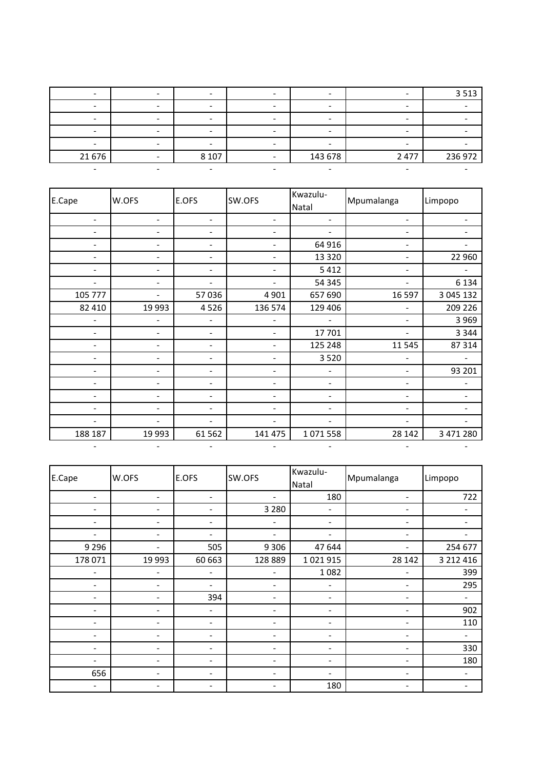|        |         |                          |         | 3 5 1 3 |
|--------|---------|--------------------------|---------|---------|
|        |         |                          |         |         |
|        |         | $\overline{\phantom{0}}$ |         |         |
|        |         |                          |         |         |
|        |         |                          |         |         |
| 21 676 | 8 1 0 7 | 143 678                  | 2 4 7 7 | 236 972 |
|        |         |                          |         |         |

| E.Cape  | W.OFS                    | E.OFS                        | SW.OFS                   | Kwazulu-<br>Natal | Mpumalanga                   | Limpopo   |
|---------|--------------------------|------------------------------|--------------------------|-------------------|------------------------------|-----------|
|         | $\overline{\phantom{0}}$ | $\qquad \qquad \blacksquare$ | $\overline{\phantom{a}}$ | ۰                 | -                            |           |
|         |                          |                              |                          |                   |                              |           |
|         |                          |                              |                          | 64 916            | -                            |           |
|         |                          |                              |                          | 13 3 20           | Ξ.                           | 22 960    |
|         |                          |                              |                          | 5 4 1 2           | -                            |           |
|         |                          |                              |                          | 54 345            | -                            | 6 1 3 4   |
| 105 777 |                          | 57 036                       | 4 9 0 1                  | 657 690           | 16 597                       | 3 045 132 |
| 82 410  | 19 9 93                  | 4526                         | 136 574                  | 129 406           |                              | 209 226   |
|         |                          |                              |                          |                   | $\qquad \qquad \blacksquare$ | 3 9 6 9   |
|         | ۰                        | ۰                            |                          | 17 701            |                              | 3 3 4 4   |
|         |                          | $\overline{\phantom{a}}$     |                          | 125 248           | 11 5 45                      | 87 314    |
|         |                          |                              |                          | 3 5 2 0           |                              |           |
|         |                          |                              |                          |                   |                              | 93 201    |
|         |                          |                              |                          |                   | -                            |           |
|         |                          |                              |                          | ۰                 | Ξ.                           |           |
|         |                          | -                            |                          | $\overline{a}$    | -                            |           |
|         |                          |                              |                          |                   |                              |           |
| 188 187 | 19 993                   | 61 5 62                      | 141 475                  | 1071558           | 28 142                       | 3 471 280 |
|         |                          |                              |                          |                   |                              |           |

| E.Cape  | W.OFS                    | E.OFS  | SW.OFS                   | Kwazulu-<br>Natal        | Mpumalanga                   | Limpopo   |
|---------|--------------------------|--------|--------------------------|--------------------------|------------------------------|-----------|
|         | $\overline{\phantom{0}}$ |        | ÷                        | 180                      |                              | 722       |
|         | $\overline{\phantom{a}}$ | -      | 3 2 8 0                  | $\blacksquare$           | $\overline{\phantom{a}}$     |           |
| -       | $\overline{\phantom{a}}$ | -      | $\overline{\phantom{a}}$ | $\overline{\phantom{a}}$ | $\qquad \qquad \blacksquare$ |           |
| ۰       | $\overline{\phantom{a}}$ | ۰      | $\blacksquare$           | ۰                        | $\overline{\phantom{a}}$     |           |
| 9 2 9 6 | $\overline{\phantom{a}}$ | 505    | 9 3 0 6                  | 47 644                   | $\qquad \qquad \blacksquare$ | 254 677   |
| 178 071 | 19 9 93                  | 60 663 | 128 889                  | 1 0 2 1 9 1 5            | 28 14 2                      | 3 212 416 |
|         | $\overline{\phantom{a}}$ |        |                          | 1082                     | -                            | 399       |
|         | $\overline{\phantom{a}}$ |        | -                        |                          | $\overline{\phantom{a}}$     | 295       |
| -       | $\overline{\phantom{a}}$ | 394    | $\overline{\phantom{a}}$ | ۰                        | $\qquad \qquad \blacksquare$ |           |
|         | $\overline{\phantom{a}}$ |        | $\overline{\phantom{a}}$ | $\overline{a}$           | $\qquad \qquad \blacksquare$ | 902       |
|         | $\overline{\phantom{0}}$ |        | $\overline{\phantom{a}}$ | ۰                        | $\overline{\phantom{0}}$     | 110       |
|         | $\overline{\phantom{a}}$ | -      | $\overline{\phantom{a}}$ | $\overline{ }$           | $\overline{\phantom{a}}$     |           |
| ۰       | $\overline{\phantom{a}}$ | -      | $\overline{\phantom{a}}$ | ۰                        | $\qquad \qquad \blacksquare$ | 330       |
|         | $\overline{\phantom{a}}$ | -      | $\overline{\phantom{a}}$ | $\overline{\phantom{0}}$ | $\overline{\phantom{a}}$     | 180       |
| 656     |                          |        |                          | $\overline{\phantom{0}}$ | -                            |           |
|         |                          |        |                          | 180                      | $\qquad \qquad \blacksquare$ |           |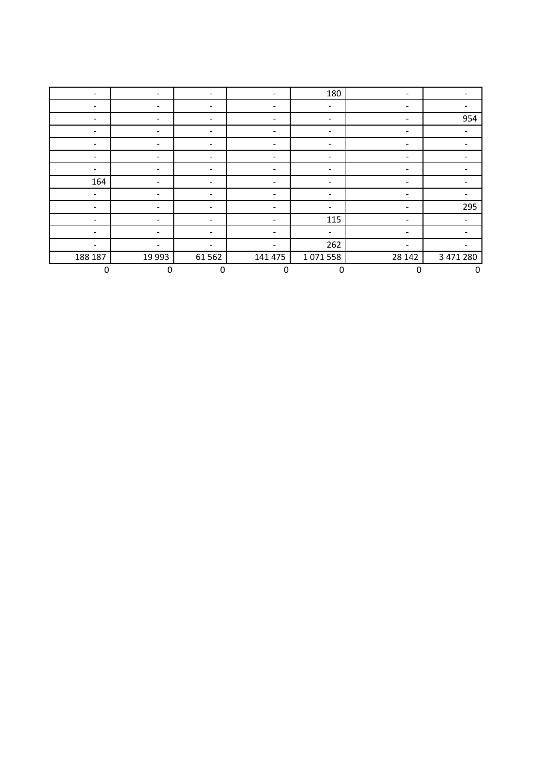|                          | $\blacksquare$           | $\qquad \qquad \blacksquare$ | $\overline{\phantom{0}}$     | 180                      |                          |             |
|--------------------------|--------------------------|------------------------------|------------------------------|--------------------------|--------------------------|-------------|
|                          | $\blacksquare$           | -                            | $\qquad \qquad \blacksquare$ | $\blacksquare$           | -                        |             |
| $\overline{\phantom{a}}$ | $\overline{\phantom{a}}$ | -                            | $\overline{\phantom{a}}$     | $\overline{\phantom{a}}$ | -                        | 954         |
|                          | $\overline{\phantom{a}}$ |                              |                              | $\overline{\phantom{a}}$ |                          | -           |
| $\overline{\phantom{a}}$ | $\sim$                   | -                            | ۰                            | $\overline{\phantom{a}}$ | -                        |             |
|                          | $\overline{\phantom{a}}$ | -                            |                              | $\overline{\phantom{a}}$ |                          |             |
| $\overline{\phantom{a}}$ | $\blacksquare$           | -                            | ۰                            | $\blacksquare$           | -                        |             |
| 164                      | $\overline{\phantom{a}}$ | -                            |                              | $\overline{\phantom{a}}$ | -                        |             |
| $\overline{\phantom{a}}$ | $\sim$                   | -                            | ۰                            | $\overline{\phantom{a}}$ | $\overline{\phantom{a}}$ |             |
|                          | $\overline{\phantom{a}}$ |                              |                              | $\overline{\phantom{a}}$ |                          | 295         |
| $\overline{\phantom{a}}$ | $\sim$                   | -                            | ۰                            | 115                      | -                        |             |
|                          | $\overline{\phantom{a}}$ | -                            |                              | $\blacksquare$           |                          |             |
| ۳                        | $\sim$                   | $\blacksquare$               | ۰                            | 262                      | $\overline{\phantom{a}}$ |             |
| 188 187                  | 19 9 93                  | 61 5 62                      | 141 475                      | 1071558                  | 28 14 2                  | 3 471 280   |
| $\mathbf 0$              | $\pmb{0}$                | $\mathbf 0$                  | $\mathbf 0$                  | $\pmb{0}$                | $\mathbf 0$              | $\mathbf 0$ |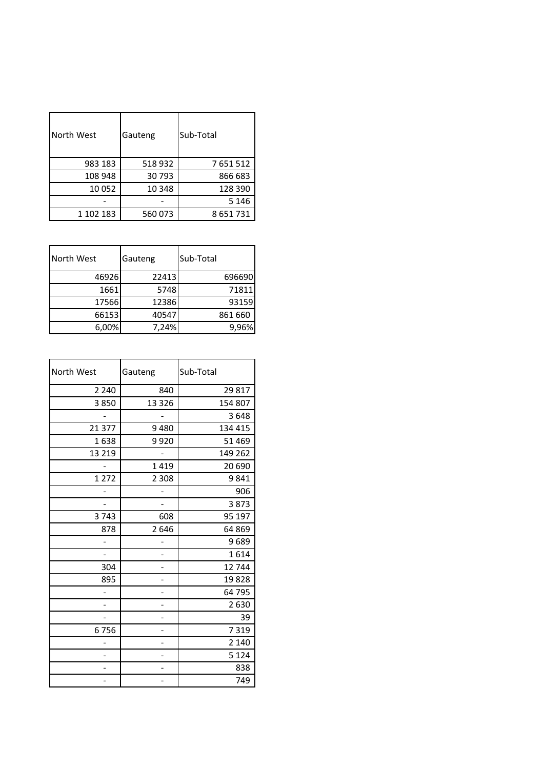| North West | Gauteng | Sub-Total |
|------------|---------|-----------|
| 983 183    | 518932  | 7651512   |
| 108 948    | 30 793  | 866 683   |
| 10 052     | 10 348  | 128 390   |
|            |         | 5 1 4 6   |
| 1 102 183  | 560073  | 8651731   |

| North West | Gauteng | Sub-Total |
|------------|---------|-----------|
| 46926      | 22413   | 696690    |
| 1661       | 5748    | 71811     |
| 17566      | 12386   | 93159     |
| 66153      | 40547   | 861 660   |
| 6,00%      | 7,24%   | 9,96%     |

| North West | Gauteng | Sub-Total |
|------------|---------|-----------|
| 2 2 4 0    | 840     | 29 817    |
| 3850       | 13 3 26 | 154 807   |
|            |         | 3648      |
| 21 377     | 9480    | 134 415   |
| 1638       | 9920    | 51 469    |
| 13 2 19    |         | 149 262   |
|            | 1419    | 20 690    |
| 1 2 7 2    | 2 3 0 8 | 9841      |
|            |         | 906       |
|            |         | 3873      |
| 3743       | 608     | 95 197    |
| 878        | 2646    | 64 869    |
|            |         | 9689      |
|            |         | 1614      |
| 304        |         | 12744     |
| 895        |         | 19828     |
| -          |         | 64 795    |
| -          | -       | 2630      |
|            |         | 39        |
| 6756       |         | 7319      |
|            |         | 2 1 4 0   |
|            |         | 5 1 2 4   |
|            |         | 838       |
|            |         | 749       |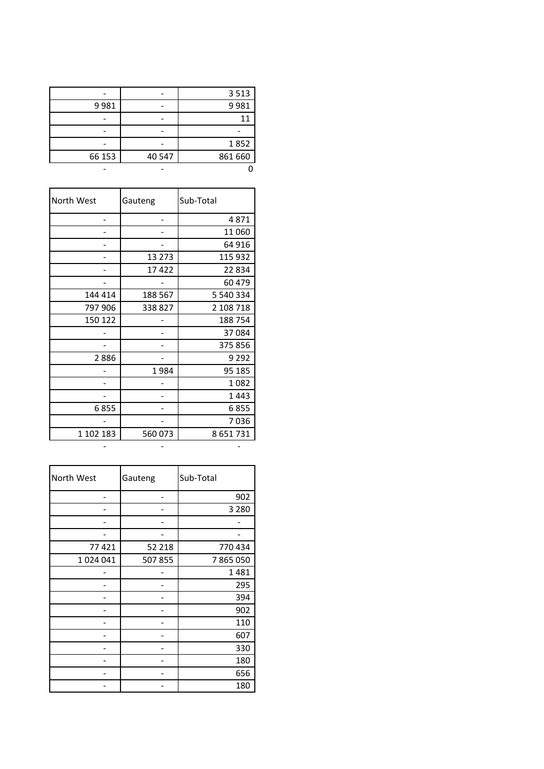|        |        | 3513    |
|--------|--------|---------|
| 9981   |        | 9981    |
|        |        | 11      |
|        |        |         |
|        |        | 1852    |
| 66 153 | 40 547 | 861 660 |
|        |        |         |

| North West | Gauteng  | Sub-Total |
|------------|----------|-----------|
|            |          | 4871      |
|            |          | 11 060    |
|            |          | 64 916    |
|            | 13 2 7 3 | 115 932   |
|            | 17422    | 22 834    |
|            |          | 60 479    |
| 144 414    | 188 567  | 5 540 334 |
| 797 906    | 338827   | 2 108 718 |
| 150 122    |          | 188754    |
|            |          | 37084     |
|            |          | 375 856   |
| 2886       |          | 9 2 9 2   |
|            | 1984     | 95 185    |
|            |          | 1082      |
|            |          | 1443      |
| 6855       |          | 6855      |
|            |          | 7036      |
| 1 102 183  | 560 073  | 8 651 731 |
|            |          |           |

| North West | Gauteng | Sub-Total |
|------------|---------|-----------|
|            |         | 902       |
|            |         | 3 2 8 0   |
|            |         |           |
|            |         |           |
| 77421      | 52 218  | 770 434   |
| 1024041    | 507855  | 7865050   |
|            |         | 1481      |
|            |         | 295       |
|            |         | 394       |
|            |         | 902       |
|            |         | 110       |
|            |         | 607       |
|            |         | 330       |
|            |         | 180       |
|            |         | 656       |
|            |         | 180       |